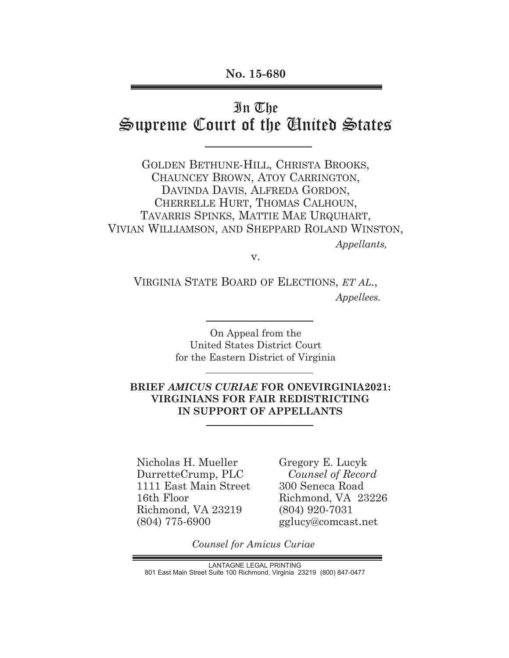# In The

# Supreme Court of the United States

GOLDEN BETHUNE-HILL, CHRISTA BROOKS, CHAUNCEY BROWN, ATOY CARRINGTON, DAVINDA DAVIS, ALFREDA GORDON, CHERRELLE HURT, THOMAS CALHOUN, TAVARRIS SPINKS, MATTIE MAE URQUHART, VIVIAN WILLIAMSON, AND SHEPPARD ROLAND WINSTON,  *Appellants,*

v.

VIRGINIA STATE BOARD OF ELECTIONS, *ET AL*.,  *Appellees.*

> On Appeal from the United States District Court for the Eastern District of Virginia

## **BRIEF** *AMICUS CURIAE* **FOR ONEVIRGINIA2021: VIRGINIANS FOR FAIR REDISTRICTING IN SUPPORT OF APPELLANTS**

Nicholas H. Mueller DurretteCrump, PLC 1111 East Main Street 16th Floor Richmond, VA 23219 (804) 775-6900

Gregory E. Lucyk  *Counsel of Record* 300 Seneca Road Richmond, VA 23226 (804) 920-7031 gglucy@comcast.net

*Counsel for Amicus Curiae*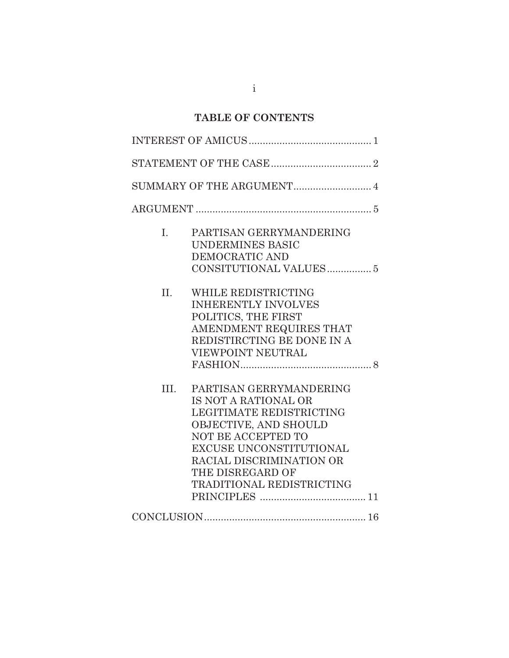# **TABLE OF CONTENTS**

| $\mathbf{I}$ . | PARTISAN GERRYMANDERING<br><b>UNDERMINES BASIC</b><br>DEMOCRATIC AND                                                                                                                                                                      |
|----------------|-------------------------------------------------------------------------------------------------------------------------------------------------------------------------------------------------------------------------------------------|
| II.            | WHILE REDISTRICTING<br><b>INHERENTLY INVOLVES</b><br>POLITICS, THE FIRST<br>AMENDMENT REQUIRES THAT<br>REDISTIRCTING BE DONE IN A<br>VIEWPOINT NEUTRAL                                                                                    |
| III.           | PARTISAN GERRYMANDERING<br>IS NOT A RATIONAL OR<br><b>LEGITIMATE REDISTRICTING</b><br>OBJECTIVE, AND SHOULD<br>NOT BE ACCEPTED TO<br>EXCUSE UNCONSTITUTIONAL<br>RACIAL DISCRIMINATION OR<br>THE DISREGARD OF<br>TRADITIONAL REDISTRICTING |
|                |                                                                                                                                                                                                                                           |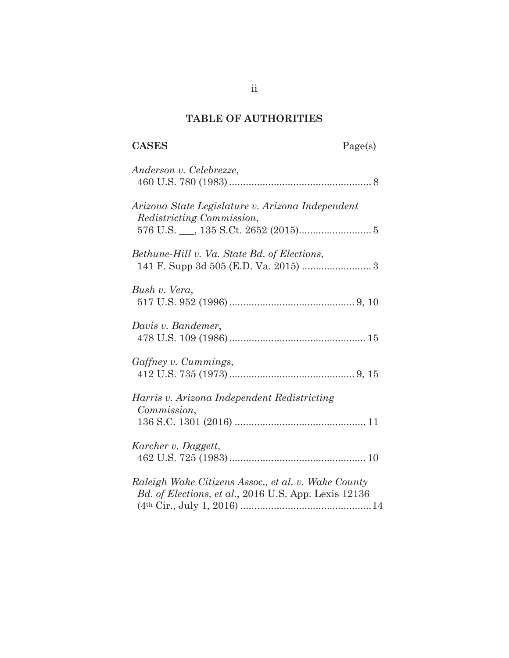# **TABLE OF AUTHORITIES**

| <b>CASES</b>                                                                                                | Page(s) |
|-------------------------------------------------------------------------------------------------------------|---------|
| Anderson v. Celebrezze,                                                                                     |         |
| Arizona State Legislature v. Arizona Independent<br>Redistricting Commission,                               |         |
| Bethune-Hill v. Va. State Bd. of Elections,                                                                 |         |
| Bush v. Vera,                                                                                               |         |
| Davis v. Bandemer,                                                                                          |         |
| Gaffney v. Cummings,                                                                                        |         |
| Harris v. Arizona Independent Redistricting<br>Commission,                                                  |         |
| Karcher v. Daggett,                                                                                         |         |
| Raleigh Wake Citizens Assoc., et al. v. Wake County<br>Bd. of Elections, et al., 2016 U.S. App. Lexis 12136 |         |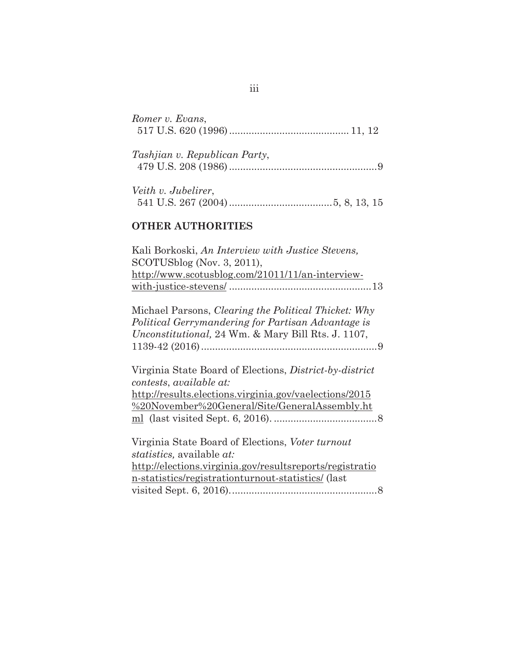| Romer v. Evans,                      |  |
|--------------------------------------|--|
| <i>Tashjian v. Republican Party,</i> |  |
| Veith v. Jubelirer,                  |  |

## **OTHER AUTHORITIES**

| Kali Borkoski, An Interview with Justice Stevens,<br>$SCOTUSblog$ (Nov. 3, 2011),<br>http://www.scotusblog.com/21011/11/an-interview-                                           |
|---------------------------------------------------------------------------------------------------------------------------------------------------------------------------------|
|                                                                                                                                                                                 |
| Michael Parsons, <i>Clearing the Political Thicket: Why</i><br>Political Gerrymandering for Partisan Advantage is<br><i>Unconstitutional</i> , 24 Wm. & Mary Bill Rts. J. 1107, |
| Virginia State Board of Elections, <i>District-by-district</i><br>contests, available at:                                                                                       |
| http://results.elections.virginia.gov/vaelections/2015                                                                                                                          |
|                                                                                                                                                                                 |
| %20November%20General/Site/GeneralAssembly.ht                                                                                                                                   |
|                                                                                                                                                                                 |

Virginia State Board of Elections, *Voter turnout statistics,* available *at:*  http://elections.virginia.gov/resultsreports/registratio n-statistics/registrationturnout-statistics/ (last visited Sept. 6, 2016). .................................................... 8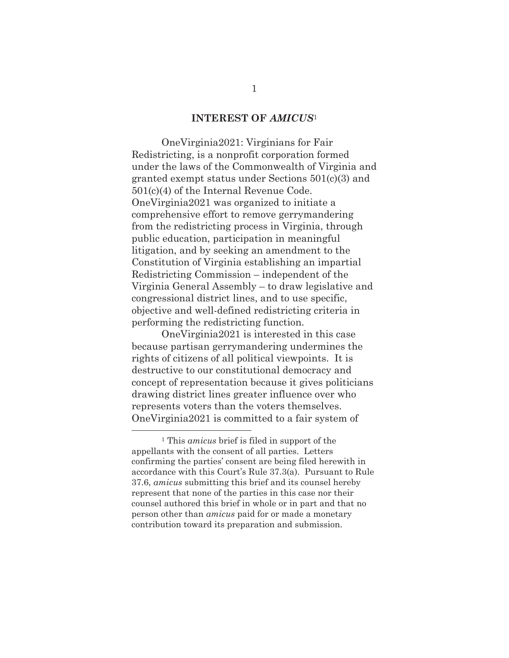#### **INTEREST OF** *AMICUS*<sup>1</sup>

OneVirginia2021: Virginians for Fair Redistricting, is a nonprofit corporation formed under the laws of the Commonwealth of Virginia and granted exempt status under Sections 501(c)(3) and 501(c)(4) of the Internal Revenue Code. OneVirginia2021 was organized to initiate a comprehensive effort to remove gerrymandering from the redistricting process in Virginia, through public education, participation in meaningful litigation, and by seeking an amendment to the Constitution of Virginia establishing an impartial Redistricting Commission – independent of the Virginia General Assembly – to draw legislative and congressional district lines, and to use specific, objective and well-defined redistricting criteria in performing the redistricting function.

 OneVirginia2021 is interested in this case because partisan gerrymandering undermines the rights of citizens of all political viewpoints. It is destructive to our constitutional democracy and concept of representation because it gives politicians drawing district lines greater influence over who represents voters than the voters themselves. OneVirginia2021 is committed to a fair system of

<sup>1</sup> This *amicus* brief is filed in support of the appellants with the consent of all parties. Letters confirming the parties' consent are being filed herewith in accordance with this Court's Rule 37.3(a). Pursuant to Rule 37.6, *amicus* submitting this brief and its counsel hereby represent that none of the parties in this case nor their counsel authored this brief in whole or in part and that no person other than *amicus* paid for or made a monetary contribution toward its preparation and submission.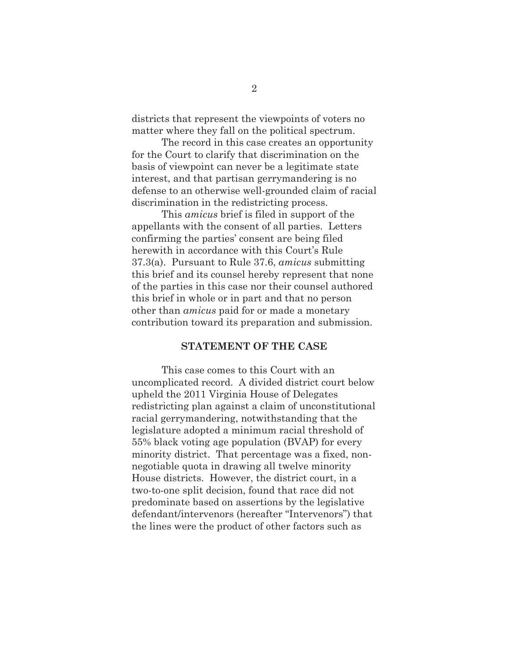districts that represent the viewpoints of voters no matter where they fall on the political spectrum.

The record in this case creates an opportunity for the Court to clarify that discrimination on the basis of viewpoint can never be a legitimate state interest, and that partisan gerrymandering is no defense to an otherwise well-grounded claim of racial discrimination in the redistricting process.

This *amicus* brief is filed in support of the appellants with the consent of all parties. Letters confirming the parties' consent are being filed herewith in accordance with this Court's Rule 37.3(a). Pursuant to Rule 37.6, *amicus* submitting this brief and its counsel hereby represent that none of the parties in this case nor their counsel authored this brief in whole or in part and that no person other than *amicus* paid for or made a monetary contribution toward its preparation and submission.

## **STATEMENT OF THE CASE**

This case comes to this Court with an uncomplicated record. A divided district court below upheld the 2011 Virginia House of Delegates redistricting plan against a claim of unconstitutional racial gerrymandering, notwithstanding that the legislature adopted a minimum racial threshold of 55% black voting age population (BVAP) for every minority district. That percentage was a fixed, nonnegotiable quota in drawing all twelve minority House districts. However, the district court, in a two-to-one split decision, found that race did not predominate based on assertions by the legislative defendant/intervenors (hereafter "Intervenors") that the lines were the product of other factors such as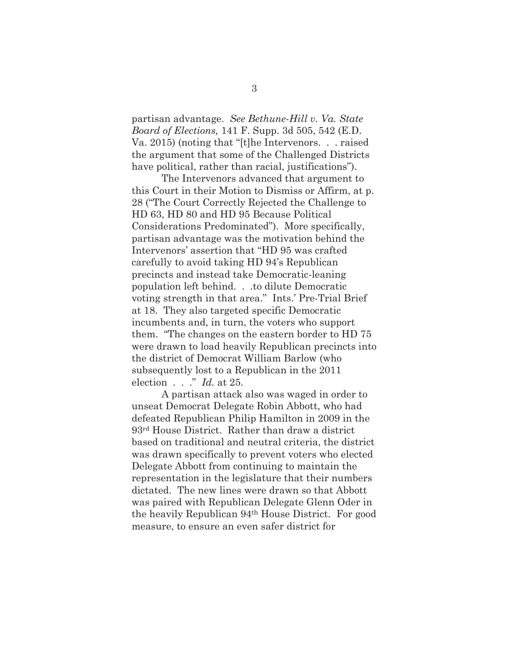partisan advantage. *See Bethune-Hill v. Va. State Board of Elections,* 141 F. Supp. 3d 505, 542 (E.D. Va. 2015) (noting that "[t]he Intervenors. . . raised the argument that some of the Challenged Districts have political, rather than racial, justifications").

The Intervenors advanced that argument to this Court in their Motion to Dismiss or Affirm, at p. 28 ("The Court Correctly Rejected the Challenge to HD 63, HD 80 and HD 95 Because Political Considerations Predominated"). More specifically, partisan advantage was the motivation behind the Intervenors' assertion that "HD 95 was crafted carefully to avoid taking HD 94's Republican precincts and instead take Democratic-leaning population left behind. . .to dilute Democratic voting strength in that area." Ints.' Pre-Trial Brief at 18. They also targeted specific Democratic incumbents and, in turn, the voters who support them. "The changes on the eastern border to HD 75 were drawn to load heavily Republican precincts into the district of Democrat William Barlow (who subsequently lost to a Republican in the 2011 election . . ." *Id.* at 25.

A partisan attack also was waged in order to unseat Democrat Delegate Robin Abbott, who had defeated Republican Philip Hamilton in 2009 in the 93rd House District. Rather than draw a district based on traditional and neutral criteria, the district was drawn specifically to prevent voters who elected Delegate Abbott from continuing to maintain the representation in the legislature that their numbers dictated. The new lines were drawn so that Abbott was paired with Republican Delegate Glenn Oder in the heavily Republican 94th House District. For good measure, to ensure an even safer district for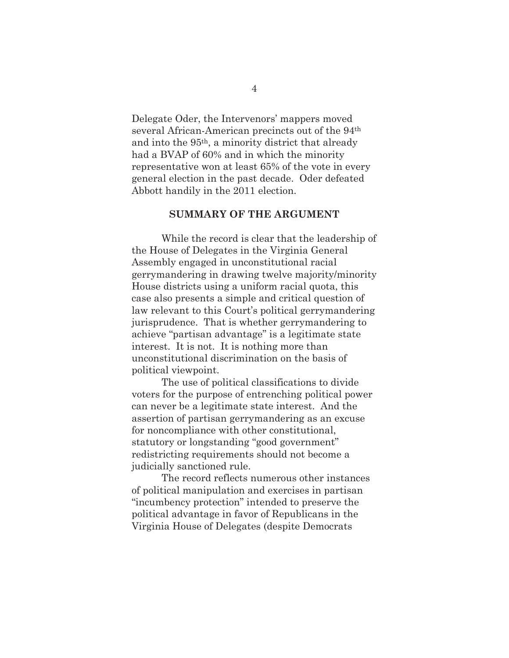Delegate Oder, the Intervenors' mappers moved several African-American precincts out of the 94th and into the 95th, a minority district that already had a BVAP of 60% and in which the minority representative won at least 65% of the vote in every general election in the past decade. Oder defeated Abbott handily in the 2011 election.

#### **SUMMARY OF THE ARGUMENT**

While the record is clear that the leadership of the House of Delegates in the Virginia General Assembly engaged in unconstitutional racial gerrymandering in drawing twelve majority/minority House districts using a uniform racial quota, this case also presents a simple and critical question of law relevant to this Court's political gerrymandering jurisprudence. That is whether gerrymandering to achieve "partisan advantage" is a legitimate state interest. It is not. It is nothing more than unconstitutional discrimination on the basis of political viewpoint.

The use of political classifications to divide voters for the purpose of entrenching political power can never be a legitimate state interest. And the assertion of partisan gerrymandering as an excuse for noncompliance with other constitutional, statutory or longstanding "good government" redistricting requirements should not become a judicially sanctioned rule.

The record reflects numerous other instances of political manipulation and exercises in partisan "incumbency protection" intended to preserve the political advantage in favor of Republicans in the Virginia House of Delegates (despite Democrats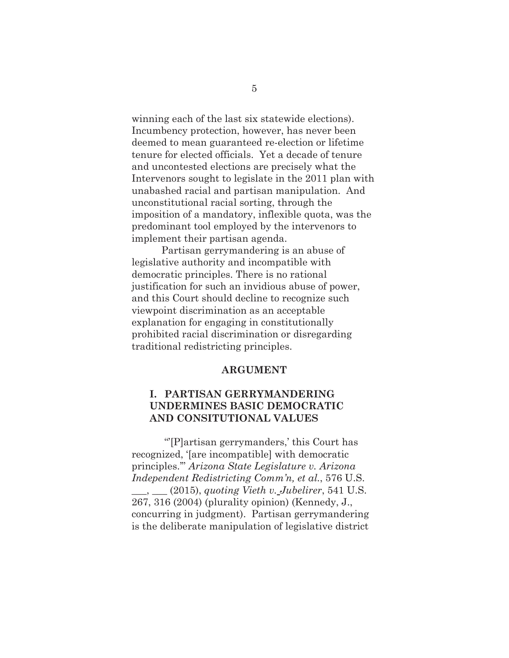winning each of the last six statewide elections). Incumbency protection, however, has never been deemed to mean guaranteed re-election or lifetime tenure for elected officials. Yet a decade of tenure and uncontested elections are precisely what the Intervenors sought to legislate in the 2011 plan with unabashed racial and partisan manipulation. And unconstitutional racial sorting, through the imposition of a mandatory, inflexible quota, was the predominant tool employed by the intervenors to implement their partisan agenda.

Partisan gerrymandering is an abuse of legislative authority and incompatible with democratic principles. There is no rational justification for such an invidious abuse of power, and this Court should decline to recognize such viewpoint discrimination as an acceptable explanation for engaging in constitutionally prohibited racial discrimination or disregarding traditional redistricting principles.

#### **ARGUMENT**

### **I. PARTISAN GERRYMANDERING UNDERMINES BASIC DEMOCRATIC AND CONSITUTIONAL VALUES**

 "'[P]artisan gerrymanders,' this Court has recognized, '[are incompatible] with democratic principles.'" *Arizona State Legislature v. Arizona Independent Redistricting Comm'n, et al.*, 576 U.S. \_\_\_, \_\_\_ (2015), *quoting Vieth v. Jubelirer*, 541 U.S. 267, 316 (2004) (plurality opinion) (Kennedy, J., concurring in judgment). Partisan gerrymandering is the deliberate manipulation of legislative district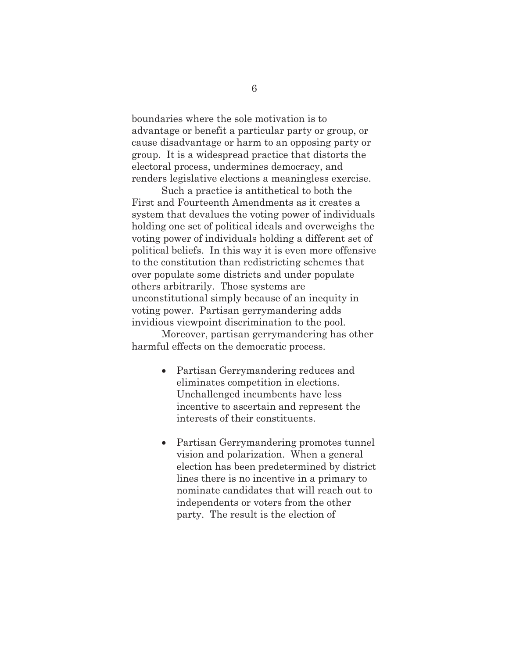boundaries where the sole motivation is to advantage or benefit a particular party or group, or cause disadvantage or harm to an opposing party or group. It is a widespread practice that distorts the electoral process, undermines democracy, and renders legislative elections a meaningless exercise.

Such a practice is antithetical to both the First and Fourteenth Amendments as it creates a system that devalues the voting power of individuals holding one set of political ideals and overweighs the voting power of individuals holding a different set of political beliefs. In this way it is even more offensive to the constitution than redistricting schemes that over populate some districts and under populate others arbitrarily. Those systems are unconstitutional simply because of an inequity in voting power. Partisan gerrymandering adds invidious viewpoint discrimination to the pool.

Moreover, partisan gerrymandering has other harmful effects on the democratic process.

- Partisan Gerrymandering reduces and eliminates competition in elections. Unchallenged incumbents have less incentive to ascertain and represent the interests of their constituents.
- Partisan Gerrymandering promotes tunnel vision and polarization. When a general election has been predetermined by district lines there is no incentive in a primary to nominate candidates that will reach out to independents or voters from the other party. The result is the election of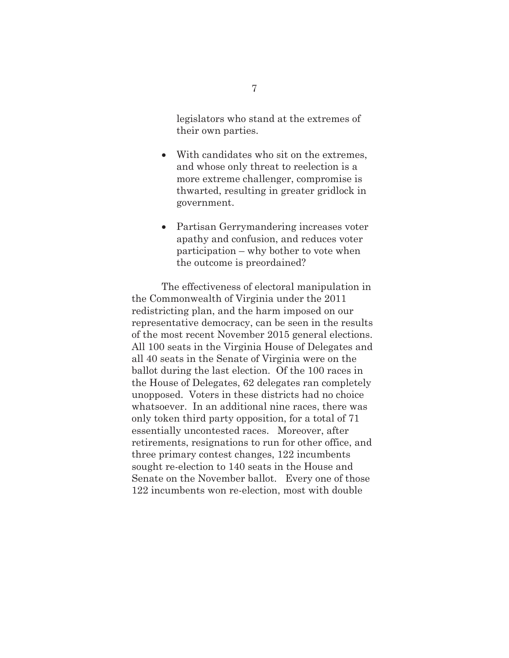legislators who stand at the extremes of their own parties.

- With candidates who sit on the extremes. and whose only threat to reelection is a more extreme challenger, compromise is thwarted, resulting in greater gridlock in government.
- Partisan Gerrymandering increases voter apathy and confusion, and reduces voter participation – why bother to vote when the outcome is preordained?

The effectiveness of electoral manipulation in the Commonwealth of Virginia under the 2011 redistricting plan, and the harm imposed on our representative democracy, can be seen in the results of the most recent November 2015 general elections. All 100 seats in the Virginia House of Delegates and all 40 seats in the Senate of Virginia were on the ballot during the last election. Of the 100 races in the House of Delegates, 62 delegates ran completely unopposed. Voters in these districts had no choice whatsoever. In an additional nine races, there was only token third party opposition, for a total of 71 essentially uncontested races. Moreover, after retirements, resignations to run for other office, and three primary contest changes, 122 incumbents sought re-election to 140 seats in the House and Senate on the November ballot. Every one of those 122 incumbents won re-election, most with double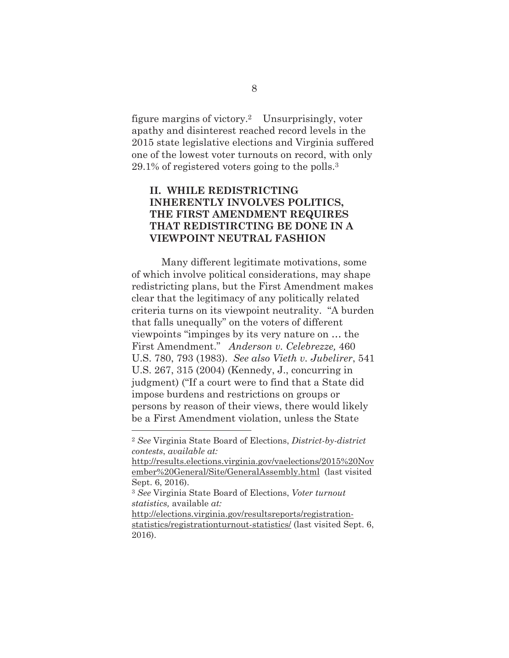figure margins of victory.2 Unsurprisingly, voter apathy and disinterest reached record levels in the 2015 state legislative elections and Virginia suffered one of the lowest voter turnouts on record, with only 29.1% of registered voters going to the polls.3

## **II. WHILE REDISTRICTING INHERENTLY INVOLVES POLITICS, THE FIRST AMENDMENT REQUIRES THAT REDISTIRCTING BE DONE IN A VIEWPOINT NEUTRAL FASHION**

Many different legitimate motivations, some of which involve political considerations, may shape redistricting plans, but the First Amendment makes clear that the legitimacy of any politically related criteria turns on its viewpoint neutrality. "A burden that falls unequally" on the voters of different viewpoints "impinges by its very nature on … the First Amendment." *Anderson v. Celebrezze,* 460 U.S. 780, 793 (1983). *See also Vieth v. Jubelirer*, 541 U.S. 267, 315 (2004) (Kennedy, J., concurring in judgment) ("If a court were to find that a State did impose burdens and restrictions on groups or persons by reason of their views, there would likely be a First Amendment violation, unless the State

http://elections.virginia.gov/resultsreports/registrationstatistics/registrationturnout-statistics/ (last visited Sept. 6, 2016).

<sup>2</sup> *See* Virginia State Board of Elections, *District-by-district contests*, *available at:*

http://results.elections.virginia.gov/vaelections/2015%20Nov ember%20General/Site/GeneralAssembly.html (last visited Sept. 6, 2016).

<sup>3</sup> *See* Virginia State Board of Elections, *Voter turnout statistics,* available *at:*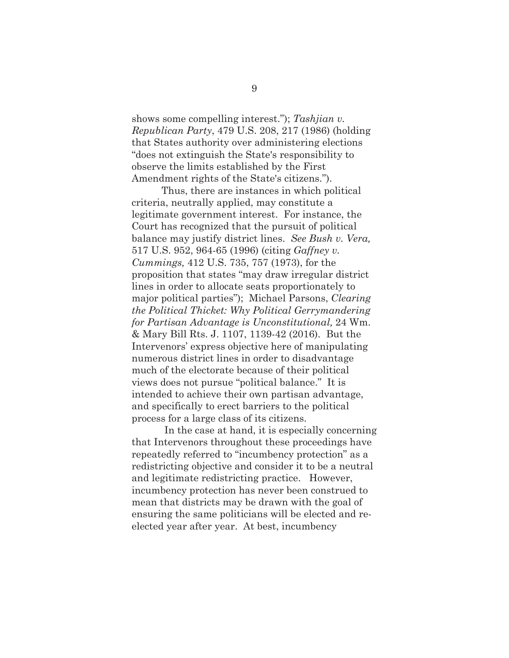shows some compelling interest."); *Tashjian v. Republican Party*, 479 U.S. 208, 217 (1986) (holding that States authority over administering elections "does not extinguish the State's responsibility to observe the limits established by the First Amendment rights of the State's citizens.").

 Thus, there are instances in which political criteria, neutrally applied, may constitute a legitimate government interest. For instance, the Court has recognized that the pursuit of political balance may justify district lines. *See Bush v. Vera,*  517 U.S. 952, 964-65 (1996) (citing *Gaffney v. Cummings,* 412 U.S. 735, 757 (1973), for the proposition that states "may draw irregular district lines in order to allocate seats proportionately to major political parties"); Michael Parsons, *Clearing the Political Thicket: Why Political Gerrymandering for Partisan Advantage is Unconstitutional,* 24 Wm. & Mary Bill Rts. J. 1107, 1139-42 (2016). But the Intervenors' express objective here of manipulating numerous district lines in order to disadvantage much of the electorate because of their political views does not pursue "political balance." It is intended to achieve their own partisan advantage, and specifically to erect barriers to the political process for a large class of its citizens.

 In the case at hand, it is especially concerning that Intervenors throughout these proceedings have repeatedly referred to "incumbency protection" as a redistricting objective and consider it to be a neutral and legitimate redistricting practice. However, incumbency protection has never been construed to mean that districts may be drawn with the goal of ensuring the same politicians will be elected and reelected year after year. At best, incumbency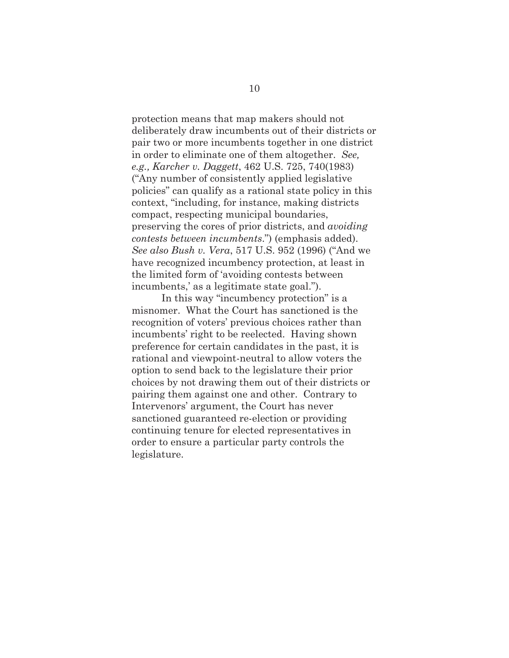protection means that map makers should not deliberately draw incumbents out of their districts or pair two or more incumbents together in one district in order to eliminate one of them altogether. *See, e.g., Karcher v. Daggett*, 462 U.S. 725, 740(1983) ("Any number of consistently applied legislative policies" can qualify as a rational state policy in this context, "including, for instance, making districts compact, respecting municipal boundaries, preserving the cores of prior districts, and *avoiding contests between incumbents*.") (emphasis added). *See also Bush v. Vera*, 517 U.S. 952 (1996) ("And we have recognized incumbency protection, at least in the limited form of 'avoiding contests between incumbents,' as a legitimate state goal.").

In this way "incumbency protection" is a misnomer. What the Court has sanctioned is the recognition of voters' previous choices rather than incumbents' right to be reelected. Having shown preference for certain candidates in the past, it is rational and viewpoint-neutral to allow voters the option to send back to the legislature their prior choices by not drawing them out of their districts or pairing them against one and other. Contrary to Intervenors' argument, the Court has never sanctioned guaranteed re-election or providing continuing tenure for elected representatives in order to ensure a particular party controls the legislature.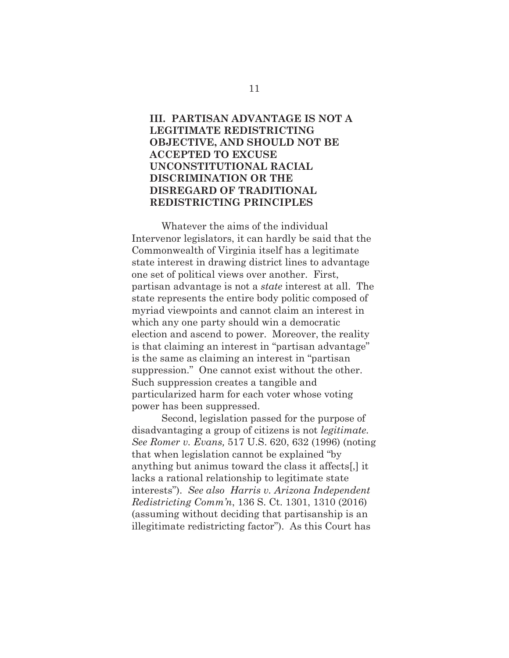### **III. PARTISAN ADVANTAGE IS NOT A LEGITIMATE REDISTRICTING OBJECTIVE, AND SHOULD NOT BE ACCEPTED TO EXCUSE UNCONSTITUTIONAL RACIAL DISCRIMINATION OR THE DISREGARD OF TRADITIONAL REDISTRICTING PRINCIPLES**

Whatever the aims of the individual Intervenor legislators, it can hardly be said that the Commonwealth of Virginia itself has a legitimate state interest in drawing district lines to advantage one set of political views over another. First, partisan advantage is not a *state* interest at all. The state represents the entire body politic composed of myriad viewpoints and cannot claim an interest in which any one party should win a democratic election and ascend to power. Moreover, the reality is that claiming an interest in "partisan advantage" is the same as claiming an interest in "partisan suppression." One cannot exist without the other. Such suppression creates a tangible and particularized harm for each voter whose voting power has been suppressed.

Second, legislation passed for the purpose of disadvantaging a group of citizens is not *legitimate. See Romer v. Evans,* 517 U.S. 620, 632 (1996) (noting that when legislation cannot be explained "by anything but animus toward the class it affects[,] it lacks a rational relationship to legitimate state interests"). *See also Harris v. Arizona Independent Redistricting Comm'n*, 136 S. Ct. 1301, 1310 (2016) (assuming without deciding that partisanship is an illegitimate redistricting factor"). As this Court has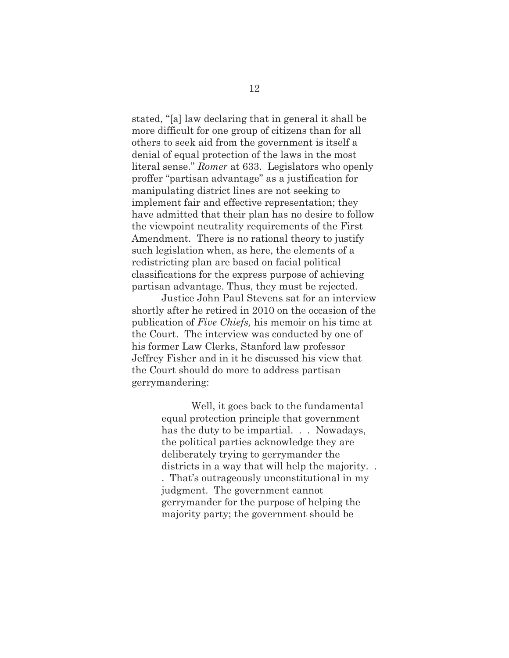stated, "[a] law declaring that in general it shall be more difficult for one group of citizens than for all others to seek aid from the government is itself a denial of equal protection of the laws in the most literal sense." *Romer* at 633. Legislators who openly proffer "partisan advantage" as a justification for manipulating district lines are not seeking to implement fair and effective representation; they have admitted that their plan has no desire to follow the viewpoint neutrality requirements of the First Amendment. There is no rational theory to justify such legislation when, as here, the elements of a redistricting plan are based on facial political classifications for the express purpose of achieving partisan advantage. Thus, they must be rejected.

Justice John Paul Stevens sat for an interview shortly after he retired in 2010 on the occasion of the publication of *Five Chiefs,* his memoir on his time at the Court. The interview was conducted by one of his former Law Clerks, Stanford law professor Jeffrey Fisher and in it he discussed his view that the Court should do more to address partisan gerrymandering:

> Well, it goes back to the fundamental equal protection principle that government has the duty to be impartial. . . Nowadays, the political parties acknowledge they are deliberately trying to gerrymander the districts in a way that will help the majority. . . That's outrageously unconstitutional in my judgment. The government cannot gerrymander for the purpose of helping the majority party; the government should be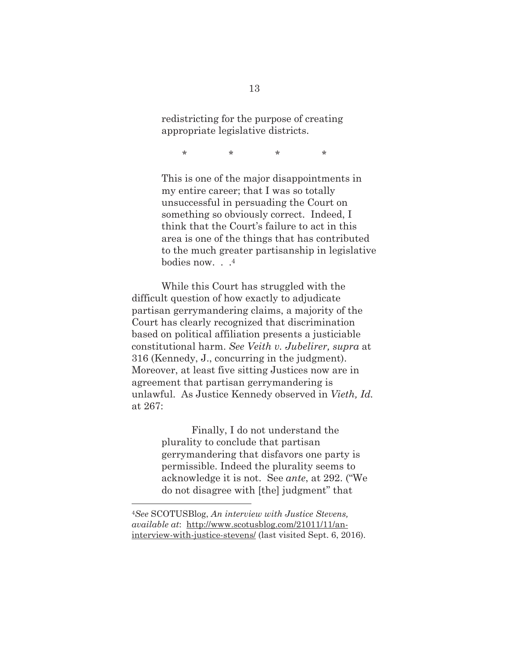redistricting for the purpose of creating appropriate legislative districts.

\* \* \* \*

This is one of the major disappointments in my entire career; that I was so totally unsuccessful in persuading the Court on something so obviously correct. Indeed, I think that the Court's failure to act in this area is one of the things that has contributed to the much greater partisanship in legislative bodies now. . .4

While this Court has struggled with the difficult question of how exactly to adjudicate partisan gerrymandering claims, a majority of the Court has clearly recognized that discrimination based on political affiliation presents a justiciable constitutional harm. *See Veith v. Jubelirer, supra* at 316 (Kennedy, J., concurring in the judgment). Moreover, at least five sitting Justices now are in agreement that partisan gerrymandering is unlawful. As Justice Kennedy observed in *Vieth, Id.* at 267:

> Finally, I do not understand the plurality to conclude that partisan gerrymandering that disfavors one party is permissible. Indeed the plurality seems to acknowledge it is not. See *ante*, at 292. ("We do not disagree with [the] judgment" that

<sup>4</sup>*See* SCOTUSBlog, *An interview with Justice Stevens, available at*: http://www.scotusblog.com/21011/11/aninterview-with-justice-stevens/ (last visited Sept. 6, 2016).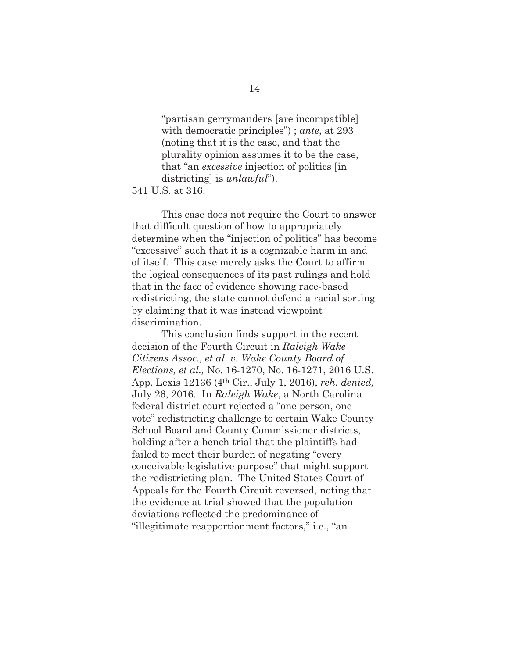"partisan gerrymanders [are incompatible] with democratic principles") ; *ante*, at 293 (noting that it is the case, and that the plurality opinion assumes it to be the case, that "an *excessive* injection of politics [in districting] is *unlawful*").

541 U.S. at 316.

This case does not require the Court to answer that difficult question of how to appropriately determine when the "injection of politics" has become "excessive" such that it is a cognizable harm in and of itself. This case merely asks the Court to affirm the logical consequences of its past rulings and hold that in the face of evidence showing race-based redistricting, the state cannot defend a racial sorting by claiming that it was instead viewpoint discrimination.

This conclusion finds support in the recent decision of the Fourth Circuit in *Raleigh Wake Citizens Assoc., et al. v. Wake County Board of Elections, et al.,* No. 16-1270, No. 16-1271, 2016 U.S. App. Lexis 12136 (4th Cir., July 1, 2016), *reh. denied,*  July 26, 2016. In *Raleigh Wake*, a North Carolina federal district court rejected a "one person, one vote" redistricting challenge to certain Wake County School Board and County Commissioner districts, holding after a bench trial that the plaintiffs had failed to meet their burden of negating "every conceivable legislative purpose" that might support the redistricting plan. The United States Court of Appeals for the Fourth Circuit reversed, noting that the evidence at trial showed that the population deviations reflected the predominance of "illegitimate reapportionment factors," i.e., "an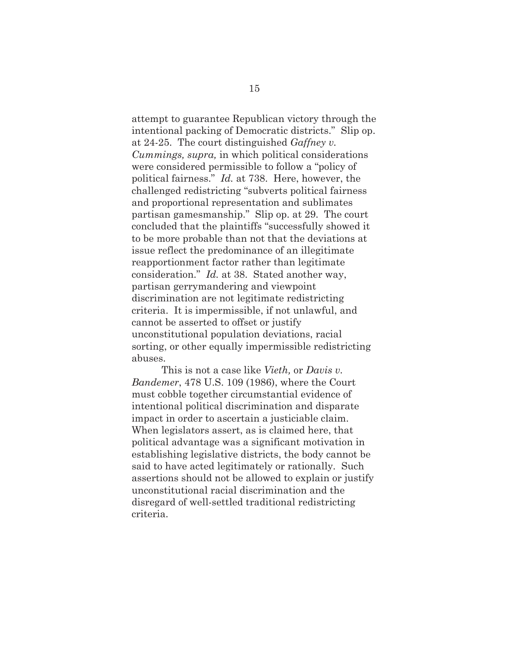attempt to guarantee Republican victory through the intentional packing of Democratic districts." Slip op. at 24-25. The court distinguished *Gaffney v. Cummings, supra,* in which political considerations were considered permissible to follow a "policy of political fairness." *Id.* at 738. Here, however, the challenged redistricting "subverts political fairness and proportional representation and sublimates partisan gamesmanship." Slip op. at 29. The court concluded that the plaintiffs "successfully showed it to be more probable than not that the deviations at issue reflect the predominance of an illegitimate reapportionment factor rather than legitimate consideration." *Id.* at 38. Stated another way, partisan gerrymandering and viewpoint discrimination are not legitimate redistricting criteria. It is impermissible, if not unlawful, and cannot be asserted to offset or justify unconstitutional population deviations, racial sorting, or other equally impermissible redistricting abuses.

This is not a case like *Vieth,* or *Davis v. Bandemer*, 478 U.S. 109 (1986), where the Court must cobble together circumstantial evidence of intentional political discrimination and disparate impact in order to ascertain a justiciable claim. When legislators assert, as is claimed here, that political advantage was a significant motivation in establishing legislative districts, the body cannot be said to have acted legitimately or rationally. Such assertions should not be allowed to explain or justify unconstitutional racial discrimination and the disregard of well-settled traditional redistricting criteria.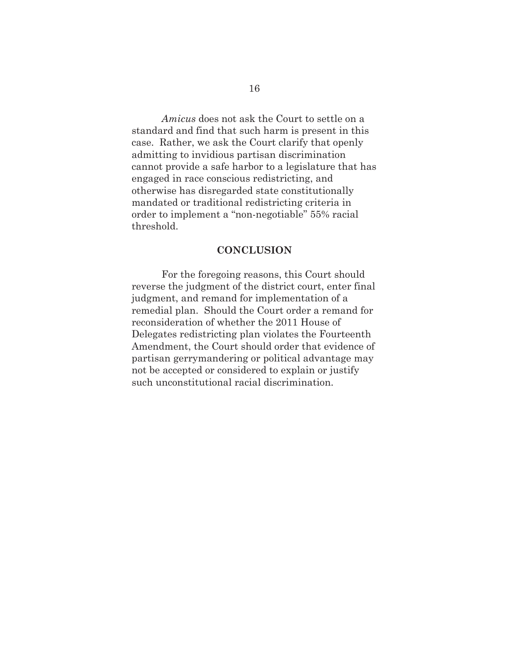*Amicus* does not ask the Court to settle on a standard and find that such harm is present in this case. Rather, we ask the Court clarify that openly admitting to invidious partisan discrimination cannot provide a safe harbor to a legislature that has engaged in race conscious redistricting, and otherwise has disregarded state constitutionally mandated or traditional redistricting criteria in order to implement a "non-negotiable" 55% racial threshold.

#### **CONCLUSION**

 For the foregoing reasons, this Court should reverse the judgment of the district court, enter final judgment, and remand for implementation of a remedial plan. Should the Court order a remand for reconsideration of whether the 2011 House of Delegates redistricting plan violates the Fourteenth Amendment, the Court should order that evidence of partisan gerrymandering or political advantage may not be accepted or considered to explain or justify such unconstitutional racial discrimination.